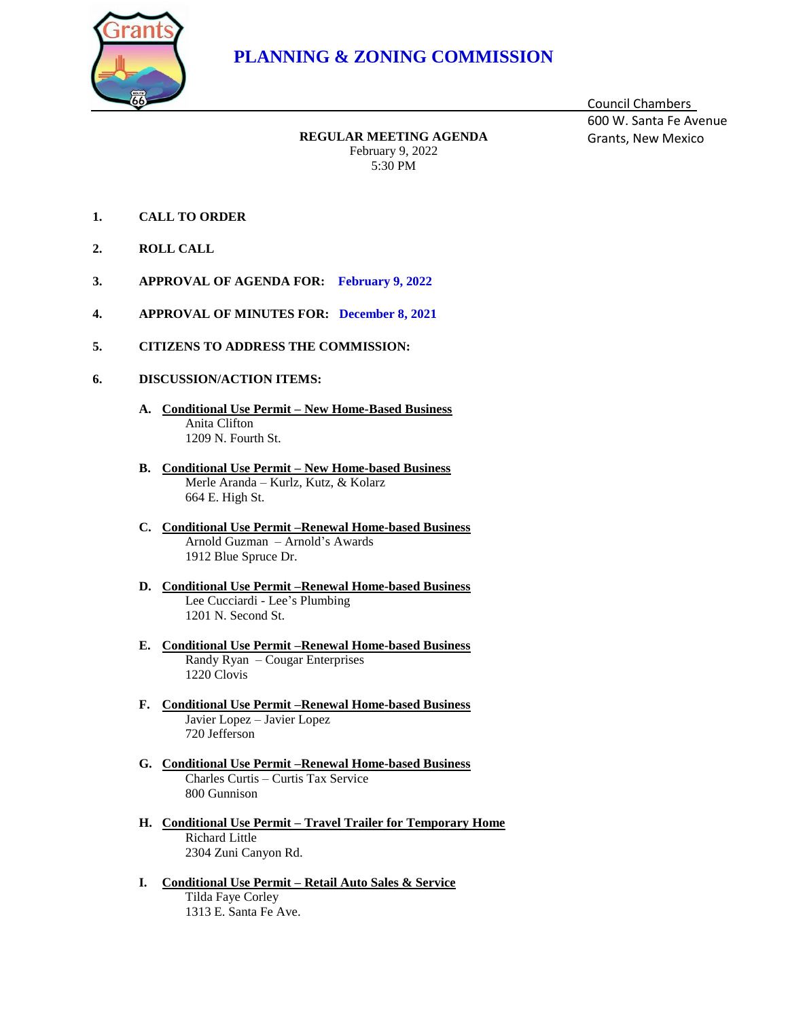

## **PLANNING & ZONING COMMISSION**

**REGULAR MEETING AGENDA** Grants, New Mexico February 9, 2022 5:30 PM

Council Chambers 600 W. Santa Fe Avenue

- **1. CALL TO ORDER**
- **2. ROLL CALL**
- **3. APPROVAL OF AGENDA FOR: February 9, 2022**
- **4. APPROVAL OF MINUTES FOR: December 8, 2021**
- **5. CITIZENS TO ADDRESS THE COMMISSION:**
- **6. DISCUSSION/ACTION ITEMS:**
	- **A. Conditional Use Permit – New Home-Based Business** Anita Clifton 1209 N. Fourth St.
	- **B. Conditional Use Permit – New Home-based Business** Merle Aranda – Kurlz, Kutz, & Kolarz 664 E. High St.
	- **C. Conditional Use Permit –Renewal Home-based Business** Arnold Guzman – Arnold's Awards 1912 Blue Spruce Dr.
	- **D. Conditional Use Permit –Renewal Home-based Business** Lee Cucciardi - Lee's Plumbing 1201 N. Second St.
	- **E. Conditional Use Permit –Renewal Home-based Business** Randy Ryan – Cougar Enterprises 1220 Clovis
	- **F. Conditional Use Permit –Renewal Home-based Business** Javier Lopez – Javier Lopez 720 Jefferson
	- **G. Conditional Use Permit –Renewal Home-based Business** Charles Curtis – Curtis Tax Service 800 Gunnison
	- **H. Conditional Use Permit – Travel Trailer for Temporary Home** Richard Little 2304 Zuni Canyon Rd.
	- **I. Conditional Use Permit – Retail Auto Sales & Service** Tilda Faye Corley 1313 E. Santa Fe Ave.